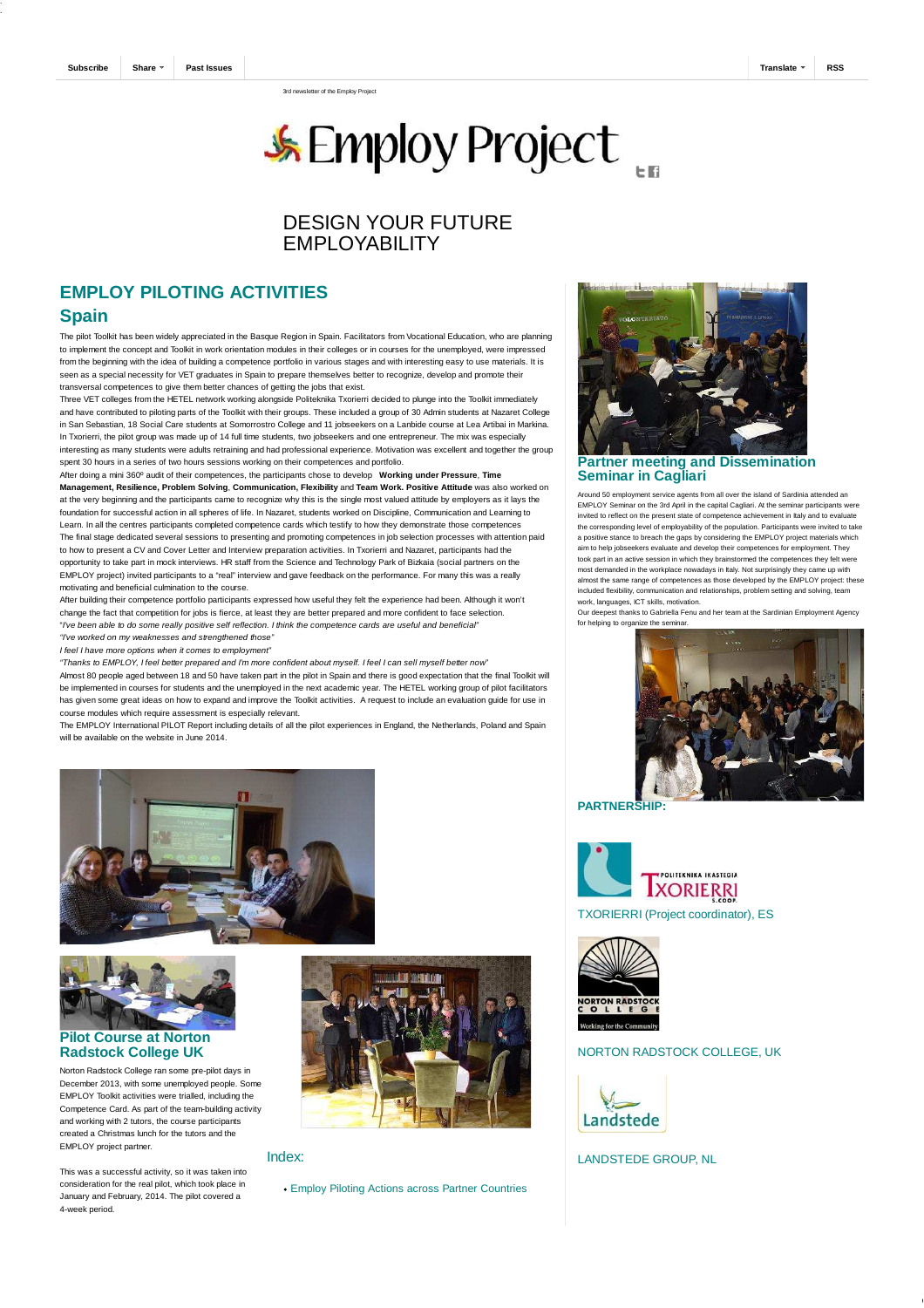3rd newsletter of the Employ Project

# **SEMploy Project**

## DESIGN YOUR FUTURE **FMPI OYABILITY**

## **EMPLOY PILOTING ACTIVITIES**

### **Spain**

The pilot Toolkit has been widely appreciated in the Basque Region in Spain. Facilitators from Vocational Education, who are planning to implement the concept and Toolkit in work orientation modules in their colleges or in courses for the unemployed, were impressed from the beginning with the idea of building a competence portfolio in various stages and with interesting easy to use materials. It is seen as a special necessity for VET graduates in Spain to prepare themselves better to recognize, develop and promote their transversal competences to give them better chances of getting the jobs that exist.

Three VET colleges from the HETEL network working alongside Politeknika Txorierri decided to plunge into the Toolkit immediately and have contributed to piloting parts of the Toolkit with their groups. These included a group of 30 Admin students at Nazaret College in San Sebastian, 18 Social Care students at Somorrostro College and 11 jobseekers on a Lanbide course at Lea Artibai in Markina. In Txorierri, the pilot group was made up of 14 full time students, two jobseekers and one entrepreneur. The mix was especially interesting as many students were adults retraining and had professional experience. Motivation was excellent and together the group spent 30 hours in a series of two hours sessions working on their competences and portfolio.

After doing a mini 360º audit of their competences, the participants chose to develop **Working under Pressure**, **Time Management, Resilience, Problem Solving**, **Communication, Flexibility** and **Team Work. Positive Attitude** was also worked on at the very beginning and the participants came to recognize why this is the single most valued attitude by employers as it lays the foundation for successful action in all spheres of life. In Nazaret, students worked on Discipline, Communication and Learning to Learn. In all the centres participants completed competence cards which testify to how they demonstrate those competences The final stage dedicated several sessions to presenting and promoting competences in job selection processes with attention paid to how to present a CV and Cover Letter and Interview preparation activities. In Txorierri and Nazaret, participants had the opportunity to take part in mock interviews. HR staff from the Science and Technology Park of Bizkaia (social partners on the EMPLOY project) invited participants to a "real" interview and gave feedback on the performance. For many this was a really motivating and beneficial culmination to the course.

After building their competence portfolio participants expressed how useful they felt the experience had been. Although it won't change the fact that competition for jobs is fierce, at least they are better prepared and more confident to face selection. "I've been able to do some really positive self reflection. I think the competence cards are useful and beneficial" "I've worked on my weaknesses and strengthened those"

I feel I have more options when it comes to employment"

"Thanks to EMPLOY, I feel better prepared and I'm more confident about myself. I feel I can sell myself better now" Almost 80 people aged between 18 and 50 have taken part in the pilot in Spain and there is good expectation that the final Toolkit will be implemented in courses for students and the unemployed in the next academic year. The HETEL working group of pilot facilitators has given some great ideas on how to expand and improve the Toolkit activities. A request to include an evaluation guide for use in course modules which require assessment is especially relevant.

The EMPLOY International PILOT Report including details of all the pilot experiences in England, the Netherlands, Poland and Spain will be available on the website in June 2014.



#### **Pilot Course at Norton Radstock College UK**

Norton Radstock College ran some pre-pilot days in December 2013, with some unemployed people. Some EMPLOY Toolkit activities were trialled, including the Competence Card. As part of the team-building activity and working with 2 tutors, the course participants created a Christmas lunch for the tutors and the EMPLOY project partner.



#### Index:

This was a successful activity, so it was taken into consideration for the real pilot, which took place in January and February, 2014. The pilot covered a 4-week period.

Employ Piloting Actions across Partner Countries



**Partner meeting and Dissemination Seminar in Cagliari**

Around 50 employment service agents from all over the island of Sardinia attended an EMPLOY Seminar on the 3rd April in the capital Cagliari. At the seminar participants were invited to reflect on the present state of competence achievement in Italy and to evaluate the corresponding level of employability of the population. Participants were invited to take a positive stance to breach the gaps by considering the EMPLOY project materials which aim to help jobseekers evaluate and develop their competences for employment. They took part in an active session in which they brainstormed the competences they felt were most demanded in the workplace nowadays in Italy. Not surprisingly they came up with almost the same range of competences as those developed by the EMPLOY project: these included flexibility, communication and relationships, problem setting and solving, team work, languages, ICT skills, motivation.

Our deepest thanks to Gabriella Fenu and her team at the Sardinian Employment Agency for helping to organize the semin



**PARTNERSHIP:**





#### NORTON RADSTOCK COLLEGE, UK



LANDSTEDE GROUP, NL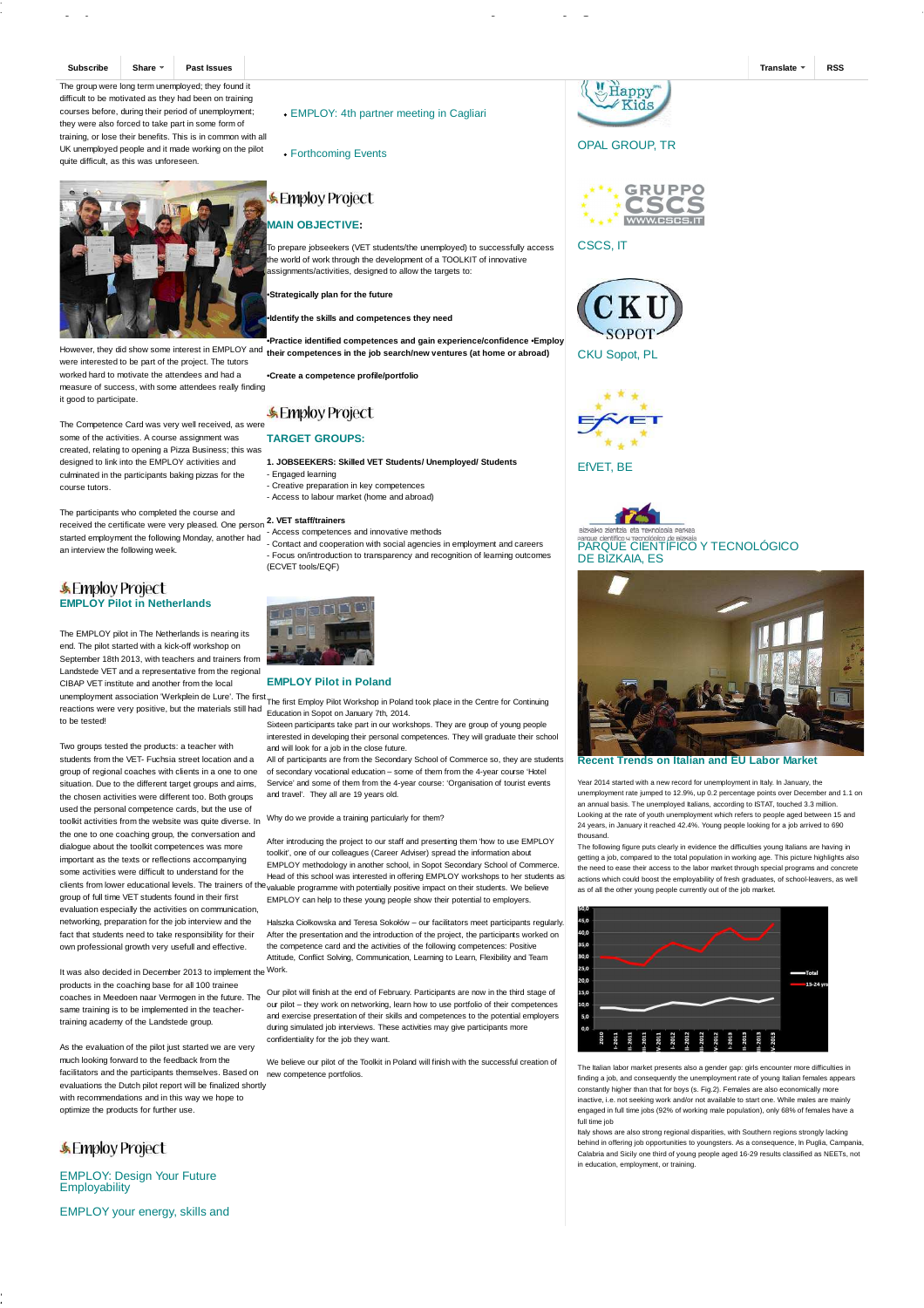**Subscribe Share Past Issues Translate RSS**

The group were long term unemployed; they found it difficult to be motivated as they had been on training courses before, during their period of unemployment; they were also forced to take part in some form of training, or lose their benefits. This is in common with all UK unemployed people and it made working on the pilot quite difficult, as this was unforeseen.



were interested to be part of the project. The tutors worked hard to motivate the attendees and had a measure of success, with some attendees really finding it good to participate.

The Competence Card was very well received, as were some of the activities. A course assignment was created, relating to opening a Pizza Business; this was designed to link into the EMPLOY activities and culminated in the participants baking pizzas for the course tutors.

The participants who completed the course and received the certificate were very pleased. One person **2. VET staff/trainers** started employment the following Monday, another had an interview the following week.

#### **& Employ Project EMPLOY Pilot in Netherlands**

The EMPLOY pilot in The Netherlands is nearing its end. The pilot started with a kick-off workshop on September 18th 2013, with teachers and trainers from Landstede VET and a representative from the regional CIBAP VET institute and another from the local unemployment association 'Werkplein de Lure'. The first

to be tested!

Two groups tested the products: a teacher with students from the VET- Fuchsia street location and a group of regional coaches with clients in a one to one situation. Due to the different target groups and aims, the chosen activities were different too. Both groups used the personal competence cards, but the use of toolkit activities from the website was quite diverse. In the one to one coaching group, the conversation and dialogue about the toolkit competences was more important as the texts or reflections accompanying some activities were difficult to understand for the clients from lower educational levels. The trainers of the group of full time VET students found in their first evaluation especially the activities on communication, networking, preparation for the job interview and the fact that students need to take responsibility for their own professional growth very usefull and effective.

It was also decided in December 2013 to implement the Work. products in the coaching base for all 100 trainee coaches in Meedoen naar Vermogen in the future. The same training is to be implemented in the teachertraining academy of the Landstede group.

As the evaluation of the pilot just started we are very much looking forward to the feedback from the facilitators and the participants themselves. Based on new competence portfolios. evaluations the Dutch pilot report will be finalized shortly with recommendations and in this way we hope to optimize the products for further use.

## **SEMPloy Project**

EMPLOY: Design Your Future **Employability** 

EMPLOY your energy, skills and

EMPLOY: 4th partner meeting in Cagliari

Forthcoming Events

## **Employ Project**

## **MAIN OBJECTIVE:**

To prepare jobseekers (VET students/the unemployed) to successfully access he world of work through the development of a TOOLKIT of innovative ssignments/activities, designed to allow the targets to:

•**Strategically plan for the future**

•**Identify the skills and competences they need**

However, they did show some interest in EMPLOY and **their competences in the job search/new ventures (at home or abroad)** •**Practice identified competences and gain experience/confidence** •**Employ**

•**Create a competence profile/portfolio**

## **SEMploy Project**

#### **TARGET GROUPS:**

**1. JOBSEEKERS: Skilled VET Students/ Unemployed/ Students** - Engaged learning

- Creative preparation in key competences
- Access to labour market (home and abroad)

- Access competences and innovative methods - Contact and cooperation with social agencies in employment and careers

- Focus on/introduction to transparency and recognition of learning outcomes (ECVET tools/EQF)



**EMPLOY Pilot in Poland**

anonproymont accoolation wompons as easy the move The first Employ Pilot Workshop in Poland took place in the Centre for Continuing<br>The first Poland to the materials still had Education in Sepat on Journey 7th, 2014 Education in Sopot on January 7th, 2014.

Sixteen participants take part in our workshops. They are group of young people interested in developing their personal competences. They will graduate their school and will look for a job in the close future.

All of participants are from the Secondary School of Commerce so, they are students of secondary vocational education – some of them from the 4-year course 'Hotel Service' and some of them from the 4-year course: 'Organisation of tourist events and travel'. They all are 19 years old.

#### Why do we provide a training particularly for them?

After introducing the project to our staff and presenting them 'how to use EMPLOY toolkit', one of our colleagues (Career Adviser) spread the information about EMPLOY methodology in another school, in Sopot Secondary School of Commerce. Head of this school was interested in offering EMPLOY workshops to her students as <sup>9</sup> valuable programme with potentially positive impact on their students. We believe EMPLOY can help to these young people show their potential to employers.

Halszka Ciołkowska and Teresa Sokołów – our facilitators meet participants regularly. After the presentation and the introduction of the project, the participants worked on the competence card and the activities of the following competences: Positive Attitude, Conflict Solving, Communication, Learning to Learn, Flexibility and Team

Our pilot will finish at the end of February. Participants are now in the third stage of our pilot – they work on networking, learn how to use portfolio of their competences and exercise presentation of their skills and competences to the potential employers during simulated job interviews. These activities may give participants more confidentiality for the job they want.

We believe our pilot of the Toolkit in Poland will finish with the successful creation of





CSCS, IT



CKU Sopot, PL

**EfVET** BE





**Recent Trends on Italian and EU Labor Market**

Year 2014 started with a new record for unemployment in Italy. In January, the unemployment rate jumped to 12.9%, up 0.2 percentage points over December and 1.1 on an annual basis. The unemployed Italians, according to ISTAT, touched 3.3 million. Looking at the rate of youth unemployment which refers to people aged between 15 and 24 years, in January it reached 42.4%. Young people looking for a job arrived to 690 thousand.

The following figure puts clearly in evidence the difficulties young Italians are having in getting a job, compared to the total population in working age. This picture highlights also the need to ease their access to the labor market through special programs and concrete actions which could boost the employability of fresh graduates, of school-leavers, as well as of all the other young people currently out of the job market



The Italian labor market presents also a gender gap: girls encounter more difficulties in finding a job, and consequently the unemployment rate of young Italian females appears constantly higher than that for boys (s. Fig.2). Females are also economically more inactive, i.e. not seeking work and/or not available to start one. While males are mainly engaged in full time jobs (92% of working male population), only 68% of females have a full time job

Italy shows are also strong regional disparities, with Southern regions strongly lacking behind in offering job opportunities to youngsters. As a consequence, In Puglia, Campania, Calabria and Sicily one third of young people aged 16-29 results classified as NEETs, not in education, employment, or training.